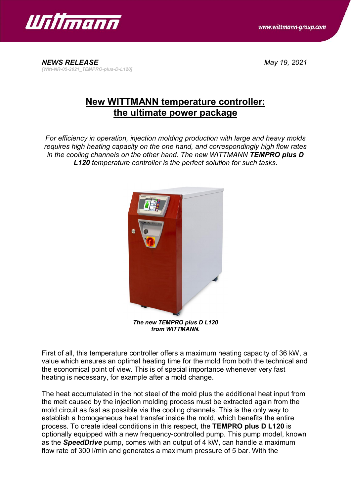



*NEWS RELEASE May 19, 2021 [Witt-NR-05-2021\_TEMPRO-plus-D-L120]*

## **New WITTMANN temperature controller: the ultimate power package**

*For efficiency in operation, injection molding production with large and heavy molds requires high heating capacity on the one hand, and correspondingly high flow rates in the cooling channels on the other hand. The new WITTMANN TEMPRO plus D L120 temperature controller is the perfect solution for such tasks.*



*The new TEMPRO plus D L120 from WITTMANN.*

First of all, this temperature controller offers a maximum heating capacity of 36 kW, a value which ensures an optimal heating time for the mold from both the technical and the economical point of view. This is of special importance whenever very fast heating is necessary, for example after a mold change.

The heat accumulated in the hot steel of the mold plus the additional heat input from the melt caused by the injection molding process must be extracted again from the mold circuit as fast as possible via the cooling channels. This is the only way to establish a homogeneous heat transfer inside the mold, which benefits the entire process. To create ideal conditions in this respect, the **TEMPRO plus D L120** is optionally equipped with a new frequency-controlled pump. This pump model, known as the *SpeedDrive* pump, comes with an output of 4 kW, can handle a maximum flow rate of 300 l/min and generates a maximum pressure of 5 bar. With the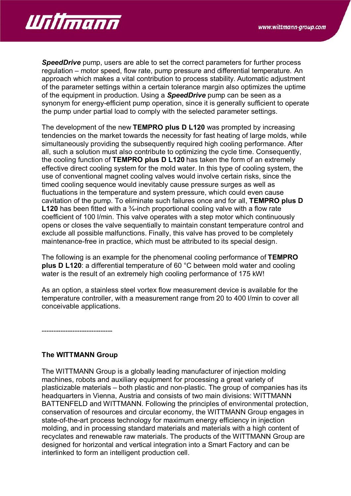

**SpeedDrive** pump, users are able to set the correct parameters for further process regulation – motor speed, flow rate, pump pressure and differential temperature. An approach which makes a vital contribution to process stability. Automatic adjustment of the parameter settings within a certain tolerance margin also optimizes the uptime of the equipment in production. Using a *SpeedDrive* pump can be seen as a synonym for energy-efficient pump operation, since it is generally sufficient to operate the pump under partial load to comply with the selected parameter settings.

The development of the new **TEMPRO plus D L120** was prompted by increasing tendencies on the market towards the necessity for fast heating of large molds, while simultaneously providing the subsequently required high cooling performance. After all, such a solution must also contribute to optimizing the cycle time. Consequently, the cooling function of **TEMPRO plus D L120** has taken the form of an extremely effective direct cooling system for the mold water. In this type of cooling system, the use of conventional magnet cooling valves would involve certain risks, since the timed cooling sequence would inevitably cause pressure surges as well as fluctuations in the temperature and system pressure, which could even cause cavitation of the pump. To eliminate such failures once and for all, **TEMPRO plus D L120** has been fitted with a <sup>3</sup>/<sub>4</sub>-inch proportional cooling valve with a flow rate coefficient of 100 l/min. This valve operates with a step motor which continuously opens or closes the valve sequentially to maintain constant temperature control and exclude all possible malfunctions. Finally, this valve has proved to be completely maintenance-free in practice, which must be attributed to its special design.

The following is an example for the phenomenal cooling performance of **TEMPRO plus D L120**: a differential temperature of 60 °C between mold water and cooling water is the result of an extremely high cooling performance of 175 kW!

As an option, a stainless steel vortex flow measurement device is available for the temperature controller, with a measurement range from 20 to 400 l/min to cover all conceivable applications.

------------------------------

## **The WITTMANN Group**

The WITTMANN Group is a globally leading manufacturer of injection molding machines, robots and auxiliary equipment for processing a great variety of plasticizable materials – both plastic and non-plastic. The group of companies has its headquarters in Vienna, Austria and consists of two main divisions: WITTMANN BATTENFELD and WITTMANN. Following the principles of environmental protection, conservation of resources and circular economy, the WITTMANN Group engages in state-of-the-art process technology for maximum energy efficiency in injection molding, and in processing standard materials and materials with a high content of recyclates and renewable raw materials. The products of the WITTMANN Group are designed for horizontal and vertical integration into a Smart Factory and can be interlinked to form an intelligent production cell.